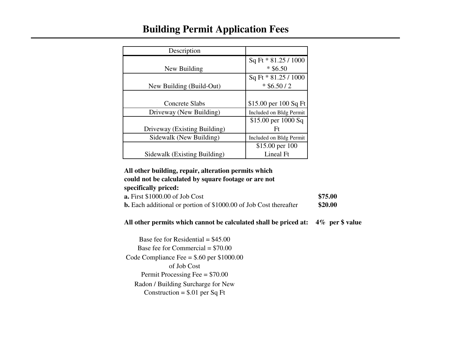#### **Building Permit Application Fees**

| Description                  |                         |
|------------------------------|-------------------------|
|                              | Sq Ft * 81.25 / 1000    |
| New Building                 | $*$ \$6.50              |
|                              | Sq Ft * 81.25 / 1000    |
| New Building (Build-Out)     | $*$ \$6.50 / 2          |
|                              |                         |
| <b>Concrete Slabs</b>        | \$15.00 per 100 Sq Ft   |
| Driveway (New Building)      | Included on Bldg Permit |
|                              | \$15.00 per 1000 Sq     |
| Driveway (Existing Building) | Ft                      |
| Sidewalk (New Building)      | Included on Bldg Permit |
|                              | \$15.00 per 100         |
| Sidewalk (Existing Building) | Lineal Ft               |

#### **All other building, repair, alteration permits which could not be calculated by square footage or are not specifically priced:**

| specifically priceus                                                     |         |
|--------------------------------------------------------------------------|---------|
| $\alpha$ . First \$1000.00 of Job Cost                                   | \$75.00 |
| <b>b.</b> Each additional or portion of \$1000.00 of Job Cost thereafter | \$20.00 |

#### **All other permits which cannot be calculated shall be priced at: 4% per \$ value**

Base fee for Residential  $=$  \$45.00 Base fee for Commercial = \$70.00 Code Compliance Fee = \$.60 per \$1000.00 of Job Cost Permit Processing Fee = \$70.00 Radon / Building Surcharge for New Construction =  $$.01$  per Sq Ft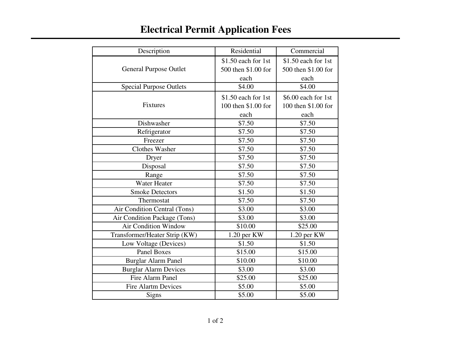| Description                    | Residential          | Commercial          |
|--------------------------------|----------------------|---------------------|
|                                | \$1.50 each for 1st  | \$1.50 each for 1st |
| <b>General Purpose Outlet</b>  | 500 then \$1.00 for  | 500 then \$1.00 for |
|                                | each                 | each                |
| <b>Special Purpose Outlets</b> | \$4.00               | \$4.00              |
|                                | $$1.50$ each for 1st | \$6.00 each for 1st |
| Fixtures                       | 100 then \$1.00 for  | 100 then \$1.00 for |
|                                | each                 | each                |
| Dishwasher                     | \$7.50               | \$7.50              |
| Refrigerator                   | \$7.50               | \$7.50              |
| Freezer                        | \$7.50               | \$7.50              |
| <b>Clothes Washer</b>          | \$7.50               | \$7.50              |
| Dryer                          | \$7.50               | \$7.50              |
| Disposal                       | \$7.50               | \$7.50              |
| Range                          | \$7.50               | \$7.50              |
| Water Heater                   | \$7.50               | \$7.50              |
| <b>Smoke Detectors</b>         | \$1.50               | \$1.50              |
| Thermostat                     | \$7.50               | \$7.50              |
| Air Condition Central (Tons)   | \$3.00               | \$3.00              |
| Air Condition Package (Tons)   | \$3.00               | \$3.00              |
| <b>Air Condition Window</b>    | \$10.00              | \$25.00             |
| Transformer/Heater Strip (KW)  | 1.20 per KW          | 1.20 per KW         |
| Low Voltage (Devices)          | \$1.50               | \$1.50              |
| <b>Panel Boxes</b>             | \$15.00              | \$15.00             |
| <b>Burglar Alarm Panel</b>     | \$10.00              | \$10.00             |
| <b>Burglar Alarm Devices</b>   | \$3.00               | \$3.00              |
| Fire Alarm Panel               | \$25.00              | \$25.00             |
| <b>Fire Alartm Devices</b>     | \$5.00               | \$5.00              |
| Signs                          | \$5.00               | \$5.00              |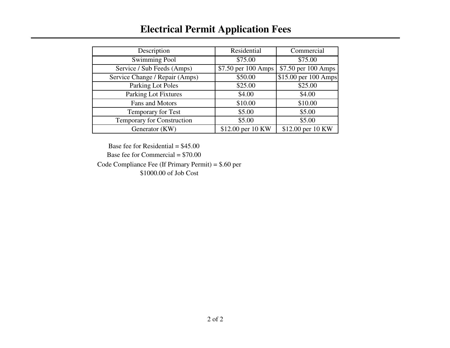#### **Electrical Permit Application Fees**

| Description                    | Residential         | Commercial                       |
|--------------------------------|---------------------|----------------------------------|
|                                |                     |                                  |
| <b>Swimming Pool</b>           | \$75.00             | \$75.00                          |
| Service / Sub Feeds (Amps)     | \$7.50 per 100 Amps | \$7.50 per 100 Amps              |
| Service Change / Repair (Amps) | \$50.00             | $\overline{$15.00}$ per 100 Amps |
| Parking Lot Poles              | \$25.00             | \$25.00                          |
| <b>Parking Lot Fixtures</b>    | \$4.00              | \$4.00                           |
| Fans and Motors                | \$10.00             | \$10.00                          |
| Temporary for Test             | \$5.00              | \$5.00                           |
| Temporary for Construction     | \$5.00              | \$5.00                           |
| Generator (KW)                 | \$12.00 per 10 KW   | \$12.00 per 10 KW                |

Base fee for Residential  $=$  \$45.00

Base fee for Commercial  $= $70.00$ 

Code Compliance Fee (If Primary Permit) = \$.60 per

\$1000.00 of Job Cost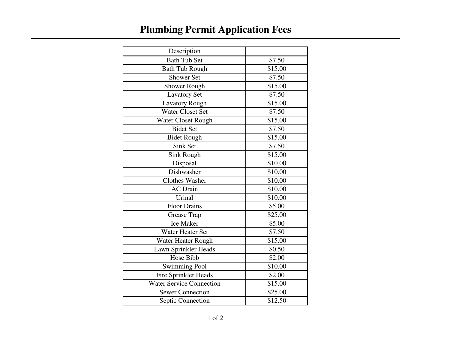# **Plumbing Permit Application Fees**

| Description                     |         |
|---------------------------------|---------|
| <b>Bath Tub Set</b>             | \$7.50  |
| <b>Bath Tub Rough</b>           | \$15.00 |
| Shower Set                      | \$7.50  |
| Shower Rough                    | \$15.00 |
| <b>Lavatory Set</b>             | \$7.50  |
| <b>Lavatory Rough</b>           | \$15.00 |
| <b>Water Closet Set</b>         | \$7.50  |
| Water Closet Rough              | \$15.00 |
| <b>Bidet Set</b>                | \$7.50  |
| <b>Bidet Rough</b>              | \$15.00 |
| Sink Set                        | \$7.50  |
| <b>Sink Rough</b>               | \$15.00 |
| Disposal                        | \$10.00 |
| Dishwasher                      | \$10.00 |
| Clothes Washer                  | \$10.00 |
| <b>AC</b> Drain                 | \$10.00 |
| Urinal                          | \$10.00 |
| <b>Floor Drains</b>             | \$5.00  |
| Grease Trap                     | \$25.00 |
| <b>Ice Maker</b>                | \$5.00  |
| Water Heater Set                | \$7.50  |
| Water Heater Rough              | \$15.00 |
| Lawn Sprinkler Heads            | \$0.50  |
| Hose Bibb                       | \$2.00  |
| Swimming Pool                   | \$10.00 |
| Fire Sprinkler Heads            | \$2.00  |
| <b>Water Service Connection</b> | \$15.00 |
| <b>Sewer Connection</b>         | \$25.00 |
| Septic Connection               | \$12.50 |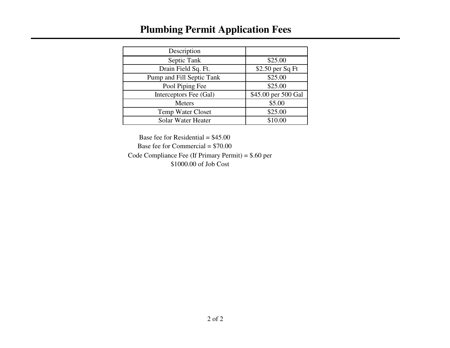### **Plumbing Permit Application Fees**

| Description               |                     |
|---------------------------|---------------------|
| Septic Tank               | \$25.00             |
| Drain Field Sq. Ft.       | $$2.50$ per Sq Ft   |
| Pump and Fill Septic Tank | \$25.00             |
| Pool Piping Fee           | \$25.00             |
| Interceptors Fee (Gal)    | \$45.00 per 500 Gal |
| <b>Meters</b>             | \$5.00              |
| <b>Temp Water Closet</b>  | \$25.00             |
| Solar Water Heater        | \$10.00             |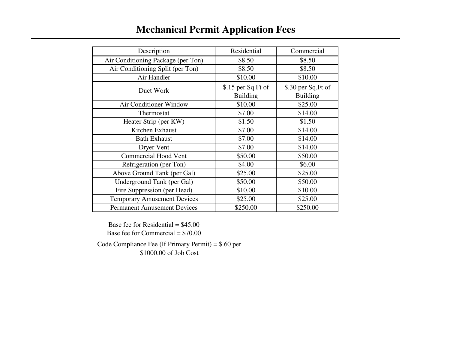### **Mechanical Permit Application Fees**

| Description                        | Residential                           | Commercial                            |
|------------------------------------|---------------------------------------|---------------------------------------|
| Air Conditioning Package (per Ton) | \$8.50                                | \$8.50                                |
| Air Conditioning Split (per Ton)   | \$8.50                                | \$8.50                                |
| Air Handler                        | \$10.00                               | \$10.00                               |
| Duct Work                          | \$.15 per Sq.Ft of<br><b>Building</b> | \$.30 per Sq.Ft of<br><b>Building</b> |
| Air Conditioner Window             | \$10.00                               | \$25.00                               |
| Thermostat                         | \$7.00                                | \$14.00                               |
| Heater Strip (per KW)              | \$1.50                                | \$1.50                                |
| Kitchen Exhaust                    | \$7.00                                | \$14.00                               |
| <b>Bath Exhaust</b>                | \$7.00                                | \$14.00                               |
| Dryer Vent                         | \$7.00                                | \$14.00                               |
| Commercial Hood Vent               | \$50.00                               | \$50.00                               |
| Refrigeration (per Ton)            | \$4.00                                | \$6.00                                |
| Above Ground Tank (per Gal)        | \$25.00                               | \$25.00                               |
| Underground Tank (per Gal)         | \$50.00                               | \$50.00                               |
| Fire Suppression (per Head)        | \$10.00                               | \$10.00                               |
| <b>Temporary Amusement Devices</b> | \$25.00                               | \$25.00                               |
| <b>Permanent Amusement Devices</b> | \$250.00                              | \$250.00                              |

Base fee for Residential  $= $45.00$ 

Base fee for Commercial = \$70.00

Code Compliance Fee (If Primary Permit) = \$.60 per \$1000.00 of Job Cost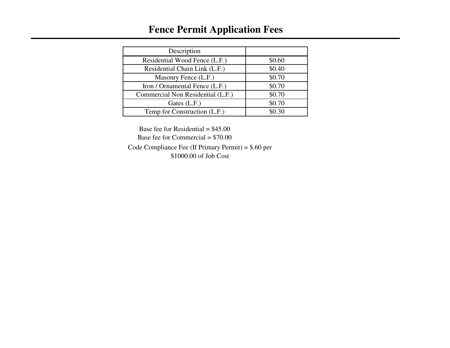### **Fence Permit Application Fees**

| Description                       |        |
|-----------------------------------|--------|
| Residential Wood Fence (L.F.)     | \$0.60 |
| Residential Chain Link (L.F.)     | \$0.40 |
| Masonry Fence (L.F.)              | \$0.70 |
| Iron / Ornamental Fence (L.F.)    | \$0.70 |
| Commercial Non Residential (L.F.) | \$0.70 |
| Gates (L.F.)                      | \$0.70 |
| Temp for Construction (L.F.)      | \$0.30 |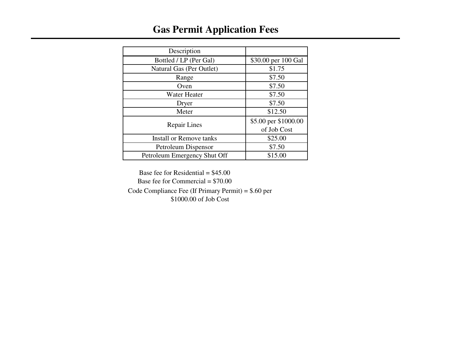### **Gas Permit Application Fees**

| Description                    |                      |
|--------------------------------|----------------------|
| Bottled / LP (Per Gal)         | \$30.00 per 100 Gal  |
| Natural Gas (Per Outlet)       | \$1.75               |
| Range                          | \$7.50               |
| Oven                           | \$7.50               |
| <b>Water Heater</b>            | \$7.50               |
| Dryer                          | \$7.50               |
| Meter                          | \$12.50              |
| <b>Repair Lines</b>            | \$5.00 per \$1000.00 |
|                                | of Job Cost          |
| <b>Install or Remove tanks</b> | \$25.00              |
| Petroleum Dispensor            | \$7.50               |
| Petroleum Emergency Shut Off   | \$15.00              |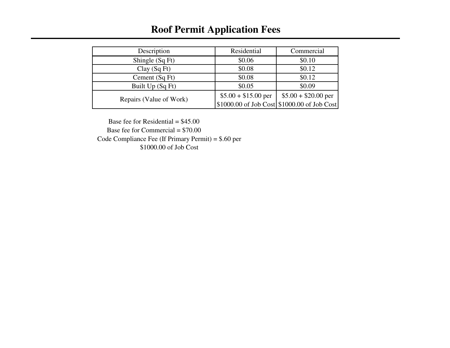### **Roof Permit Application Fees**

| Description             | Residential          | Commercial                                    |
|-------------------------|----------------------|-----------------------------------------------|
| Shingle (Sq Ft)         | \$0.06               | \$0.10                                        |
| Clay(SqFt)              | \$0.08               | \$0.12                                        |
| Cement (Sq Ft)          | \$0.08               | \$0.12                                        |
| Built Up (Sq Ft)        | \$0.05               | \$0.09                                        |
| Repairs (Value of Work) | $$5.00 + $15.00$ per | $$5.00 + $20.00$ per                          |
|                         |                      | $$1000.00$ of Job Cost $$1000.00$ of Job Cost |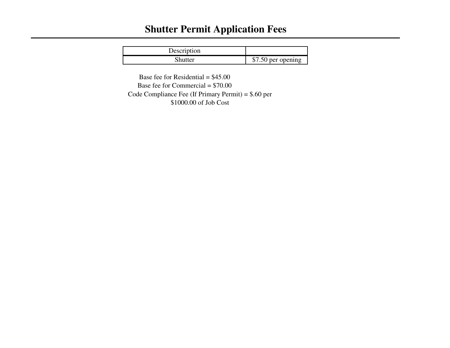## **Shutter Permit Application Fees**

| Description |                    |
|-------------|--------------------|
| Shutter     | \$7.50 per opening |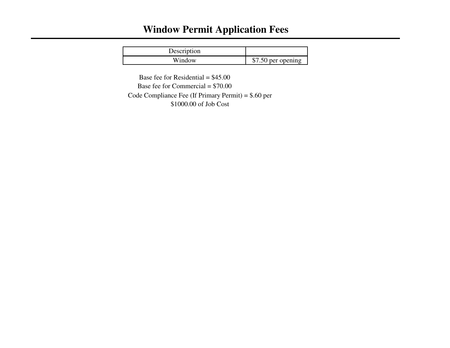### **Window Permit Application Fees**

| Description |                    |
|-------------|--------------------|
| Window      | \$7.50 per opening |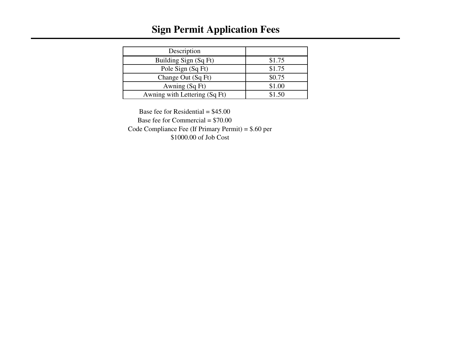### **Sign Permit Application Fees**

| Description                   |        |
|-------------------------------|--------|
| Building Sign (Sq Ft)         | \$1.75 |
| Pole Sign (Sq Ft)             | \$1.75 |
| Change Out (Sq Ft)            | \$0.75 |
| Awning (Sq Ft)                | \$1.00 |
| Awning with Lettering (Sq Ft) | \$1.50 |